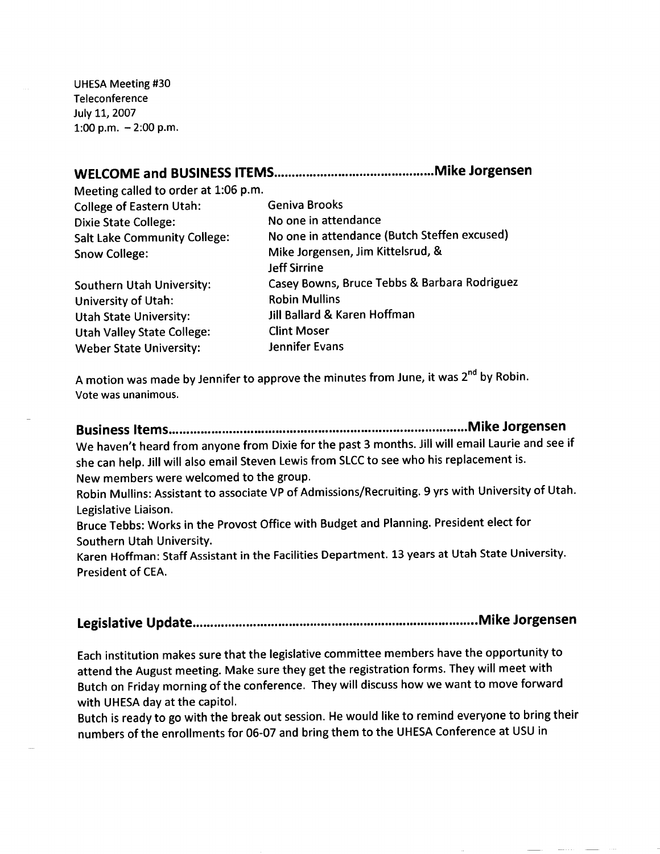UHESA Meeting #30 **Teleconference** July 11, 2007 1:00 p.m.  $-2:00$  p.m.

## **WELCOME and BUSINESS ITEMS Mike Jorgensen**

Meeting called to order at 1:06 p.m. College of Eastern Utah: Geniva Brooks

Dixie State College: No one in attendance Salt Lake Community College: No one in attendance (Butch Steffen excused) Snow College: Mike Jorgensen, Jim Kittelsrud, & Jeff Sirrine Southern Utah University: Casey Bowns, Bruce Tebbs & Barbara Rodriguez University of Utah: Robin Mullins Utah State University: Jill Ballard & Karen Hoffman Utah Valley State College: Clint Moser Weber State University: State By Jennifer Evans

A motion was made by Jennifer to approve the minutes from June, it was 2<sup>nd</sup> by Robin. Vote was unanimous.

**Business Items Mike Jorgensen** We haven't heard from anyone from Dixie for the past 3 months. Jill will email Laurie and see if she can help. Jill will also email Steven Lewis from SLCC to see who his replacement is. New members were welcomed to the group.

Robin Mullins: Assistant to associate VP of Admissions/Recruiting. 9 yrs with University of Utah. Legislative Liaison.

Bruce Tebbs: Works in the Provost Office with Budget and Planning. President elect for Southern Utah University.

Karen Hoffman: Staff Assistant in the Facilities Department. 13 years at Utah State University. President of CEA.

**Legislative Update Mike Jorgensen**

Each institution makes sure that the legislative committee members have the opportunity to attend the August meeting. Make sure they get the registration forms. They will meet with Butch on Friday morning of the conference. They will discuss how we want to move forward with UHESA day at the capitol.

Butch is ready to go with the break out session. He would like to remind everyone to bring their numbers of the enrollments for 06-07 and bring them to the UHESA Conference at USU in